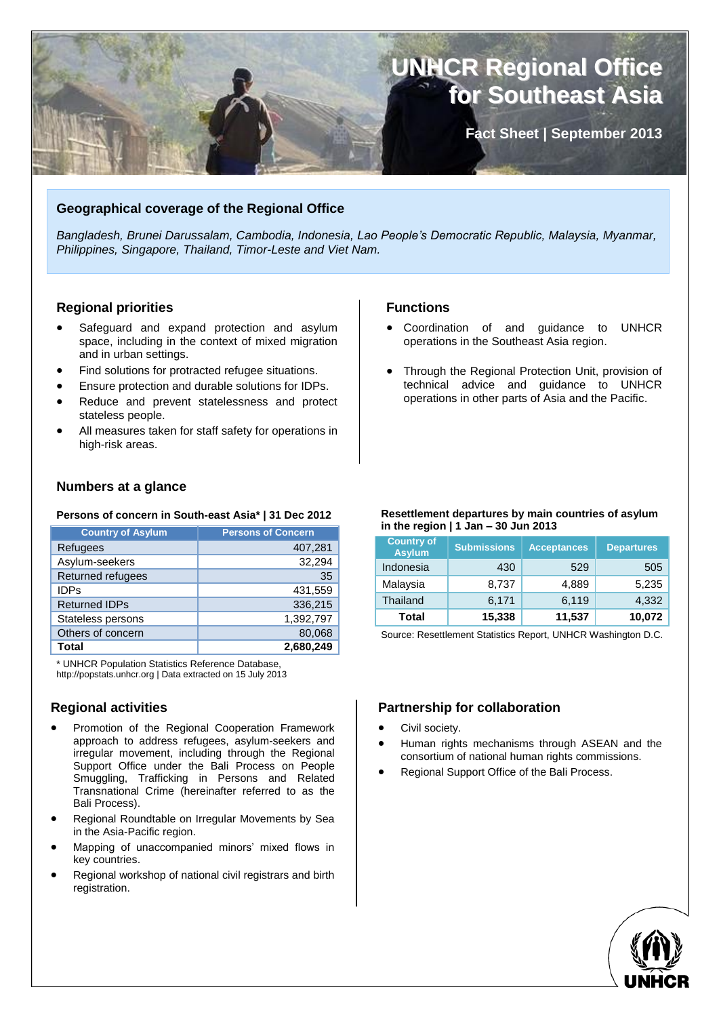

# **Geographical coverage of the Regional Office**

*Bangladesh, Brunei Darussalam, Cambodia, Indonesia, Lao People's Democratic Republic, Malaysia, Myanmar, Philippines, Singapore, Thailand, Timor-Leste and Viet Nam.*

# **Regional priorities**

- Safeguard and expand protection and asylum space, including in the context of mixed migration and in urban settings.
- Find solutions for protracted refugee situations.
- Ensure protection and durable solutions for IDPs.
- Reduce and prevent statelessness and protect stateless people.
- All measures taken for staff safety for operations in high-risk areas.

### **Numbers at a glance**

#### **Persons of concern in South-east Asia\* | 31 Dec 2012**

| <b>Country of Asylum</b> | <b>Persons of Concern</b> |
|--------------------------|---------------------------|
| Refugees                 | 407,281                   |
| Asylum-seekers           | 32,294                    |
| Returned refugees        | 35                        |
| <b>IDPs</b>              | 431,559                   |
| <b>Returned IDPs</b>     | 336,215                   |
| Stateless persons        | 1,392,797                 |
| Others of concern        | 80,068                    |
| Total                    | 2,680,249                 |

\* UNHCR Population Statistics Reference Database, http://popstats.unhcr.org | Data extracted on 15 July 2013

# **Regional activities**

- Promotion of the Regional Cooperation Framework approach to address refugees, asylum-seekers and irregular movement, including through the Regional Support Office under the Bali Process on People Smuggling, Trafficking in Persons and Related Transnational Crime (hereinafter referred to as the Bali Process).
- Regional Roundtable on Irregular Movements by Sea in the Asia-Pacific region.
- Mapping of unaccompanied minors' mixed flows in key countries.
- Regional workshop of national civil registrars and birth registration.

# **Functions**

- Coordination of and guidance to UNHCR operations in the Southeast Asia region.
- Through the Regional Protection Unit, provision of technical advice and guidance to UNHCR operations in other parts of Asia and the Pacific.

#### **Resettlement departures by main countries of asylum in the region | 1 Jan – 30 Jun 2013**

| <b>Country of</b><br><b>Asylum</b> | <b>Submissions</b> | <b>Acceptances</b> | <b>Departures</b> |
|------------------------------------|--------------------|--------------------|-------------------|
| Indonesia                          | 430                | 529                | 505               |
| Malaysia                           | 8,737              | 4,889              | 5,235             |
| Thailand                           | 6,171              | 6,119              | 4,332             |
| Total                              | 15,338             | 11,537             | 10,072            |

Source: Resettlement Statistics Report, UNHCR Washington D.C.

# **Partnership for collaboration**

- Civil society.
- Human rights mechanisms through ASEAN and the consortium of national human rights commissions.
- Regional Support Office of the Bali Process.